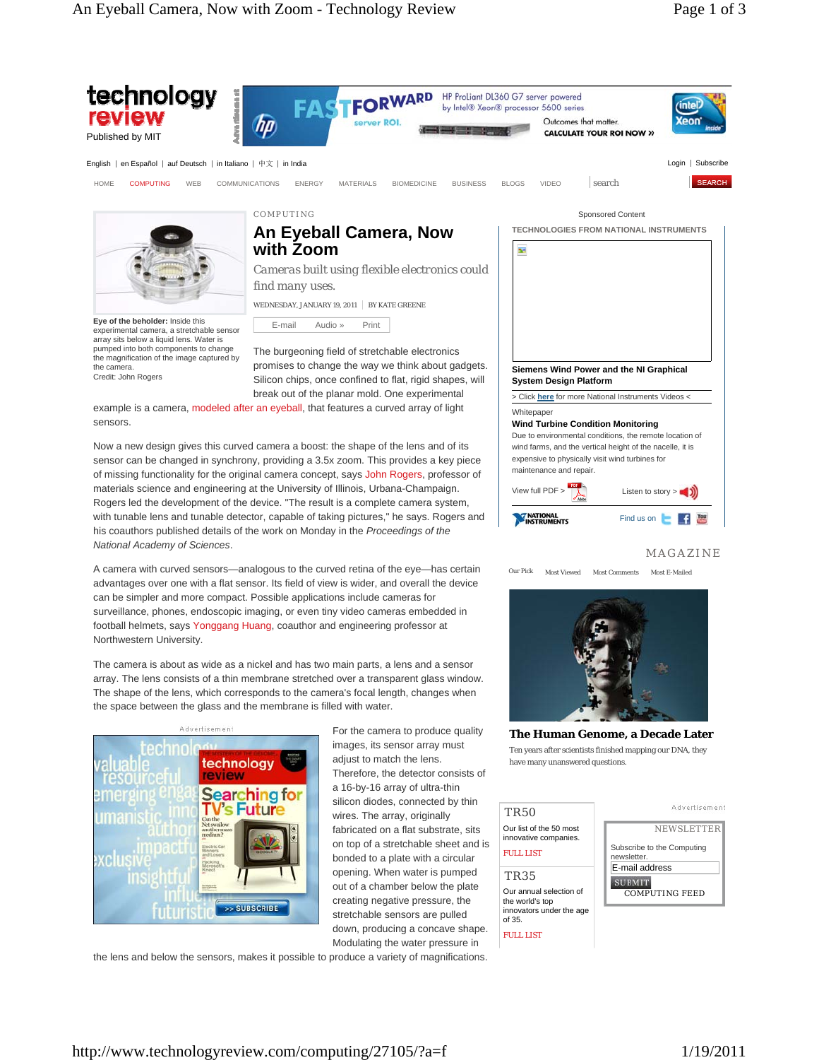

out of a chamber below the plate creating negative pressure, the stretchable sensors are pulled down, producing a concave shape. **SUBMIT** COMPUTING FEED

Our annual selection of the world's top innovators under the age

of 35. FULL LIST

Modulating the water pressure in the lens and below the sensors, makes it possible to produce a variety of magnifications.

http://www.technologyreview.com/computing/27105/?a=f 1/19/2011

>> SUBSCRIBE